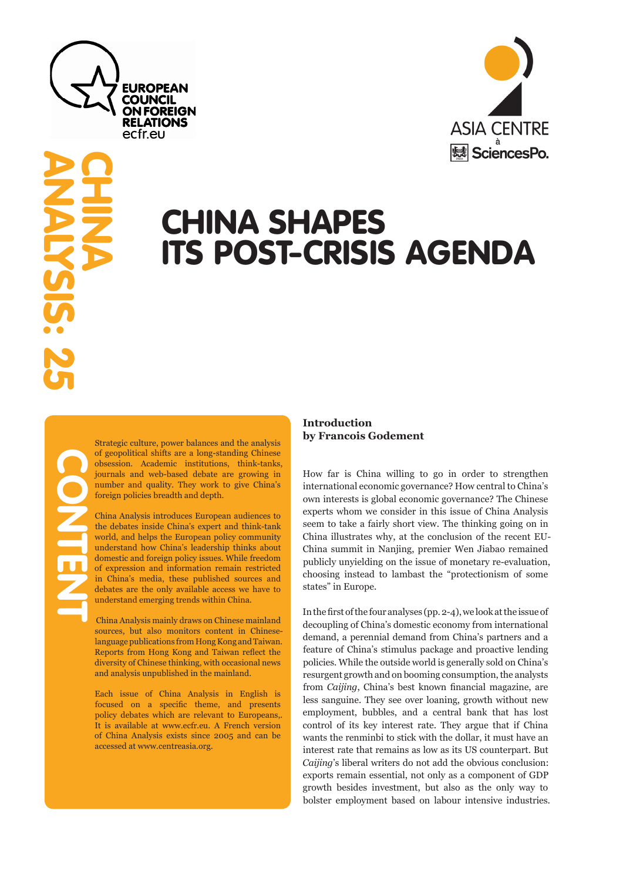

# **ASIA CENTRE** SciencesPo.

# CHINA SHAPES ITS POST-CRISIS AGENDA

ANALYSIS: 25

**CHINA** 

Strategic culture, power balances and the analysis of geopolitical shifts are a long-standing Chinese obsession. Academic institutions, think-tanks, journals and web-based debate are growing in number and quality. They work to give China's foreign policies breadth and depth.

China Analysis introduces European audiences to the debates inside China's expert and think-tank world, and helps the European policy community understand how China's leadership thinks about domestic and foreign policy issues. While freedom of expression and information remain restricted in China's media, these published sources and debates are the only available access we have to understand emerging trends within China.

 China Analysis mainly draws on Chinese mainland sources, but also monitors content in Chineselanguage publications from Hong Kong and Taiwan. Reports from Hong Kong and Taiwan reflect the diversity of Chinese thinking, with occasional news and analysis unpublished in the mainland.

Each issue of China Analysis in English is focused on a specific theme, and presents policy debates which are relevant to Europeans,. It is available at www.ecfr.eu. A French version of China Analysis exists since 2005 and can be accessed at www.centreasia.org.

# **Introduction by Francois Godement**

How far is China willing to go in order to strengthen international economic governance? How central to China's own interests is global economic governance? The Chinese experts whom we consider in this issue of China Analysis seem to take a fairly short view. The thinking going on in China illustrates why, at the conclusion of the recent EU-China summit in Nanjing, premier Wen Jiabao remained publicly unyielding on the issue of monetary re-evaluation, choosing instead to lambast the "protectionism of some states" in Europe.

In the first of the four analyses (pp. 2-4), we look at the issue of decoupling of China's domestic economy from international demand, a perennial demand from China's partners and a feature of China's stimulus package and proactive lending policies. While the outside world is generally sold on China's resurgent growth and on booming consumption, the analysts from *Caijing*, China's best known financial magazine, are less sanguine. They see over loaning, growth without new employment, bubbles, and a central bank that has lost control of its key interest rate. They argue that if China wants the renminbi to stick with the dollar, it must have an interest rate that remains as low as its US counterpart. But *Caijing*'s liberal writers do not add the obvious conclusion: exports remain essential, not only as a component of GDP growth besides investment, but also as the only way to bolster employment based on labour intensive industries.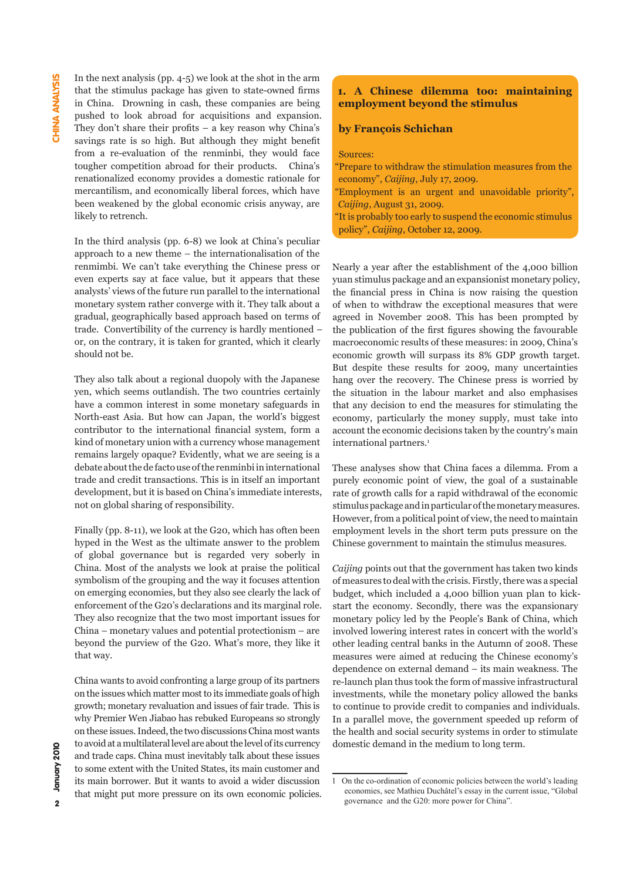In the next analysis (pp. 4-5) we look at the shot in the arm that the stimulus package has given to state-owned firms in China. Drowning in cash, these companies are being pushed to look abroad for acquisitions and expansion. They don't share their profits – a key reason why China's savings rate is so high. But although they might benefit from a re-evaluation of the renminbi, they would face tougher competition abroad for their products. China's renationalized economy provides a domestic rationale for mercantilism, and economically liberal forces, which have been weakened by the global economic crisis anyway, are likely to retrench.

In the third analysis (pp. 6-8) we look at China's peculiar approach to a new theme – the internationalisation of the renmimbi. We can't take everything the Chinese press or even experts say at face value, but it appears that these analysts' views of the future run parallel to the international monetary system rather converge with it. They talk about a gradual, geographically based approach based on terms of trade. Convertibility of the currency is hardly mentioned – or, on the contrary, it is taken for granted, which it clearly should not be.

They also talk about a regional duopoly with the Japanese yen, which seems outlandish. The two countries certainly have a common interest in some monetary safeguards in North-east Asia. But how can Japan, the world's biggest contributor to the international financial system, form a kind of monetary union with a currency whose management remains largely opaque? Evidently, what we are seeing is a debate about the de facto use of the renminbi in international trade and credit transactions. This is in itself an important development, but it is based on China's immediate interests, not on global sharing of responsibility.

Finally (pp. 8-11), we look at the G20, which has often been hyped in the West as the ultimate answer to the problem of global governance but is regarded very soberly in China. Most of the analysts we look at praise the political symbolism of the grouping and the way it focuses attention on emerging economies, but they also see clearly the lack of enforcement of the G20's declarations and its marginal role. They also recognize that the two most important issues for China – monetary values and potential protectionism – are beyond the purview of the G20. What's more, they like it that way.

China wants to avoid confronting a large group of its partners on the issues which matter most to its immediate goals of high growth; monetary revaluation and issues of fair trade. This is why Premier Wen Jiabao has rebuked Europeans so strongly on these issues. Indeed, the two discussions China most wants to avoid at a multilateral level are about the level of its currency and trade caps. China must inevitably talk about these issues to some extent with the United States, its main customer and its main borrower. But it wants to avoid a wider discussion that might put more pressure on its own economic policies.

# **1. A Chinese dilemma too: maintaining employment beyond the stimulus**

#### **by François Schichan**

Sources:

"Prepare to withdraw the stimulation measures from the economy", *Caijing*, July 17, 2009.

"Employment is an urgent and unavoidable priority", *Caijing*, August 31, 2009.

"It is probably too early to suspend the economic stimulus policy", *Caijing*, October 12, 2009.

Nearly a year after the establishment of the 4,000 billion yuan stimulus package and an expansionist monetary policy, the financial press in China is now raising the question of when to withdraw the exceptional measures that were agreed in November 2008. This has been prompted by the publication of the first figures showing the favourable macroeconomic results of these measures: in 2009, China's economic growth will surpass its 8% GDP growth target. But despite these results for 2009, many uncertainties hang over the recovery. The Chinese press is worried by the situation in the labour market and also emphasises that any decision to end the measures for stimulating the economy, particularly the money supply, must take into account the economic decisions taken by the country's main international partners.<sup>1</sup>

These analyses show that China faces a dilemma. From a purely economic point of view, the goal of a sustainable rate of growth calls for a rapid withdrawal of the economic stimulus package and in particular of the monetary measures. However, from a political point of view, the need to maintain employment levels in the short term puts pressure on the Chinese government to maintain the stimulus measures.

*Caijing* points out that the government has taken two kinds of measures to deal with the crisis. Firstly, there was a special budget, which included a 4,000 billion yuan plan to kickstart the economy. Secondly, there was the expansionary monetary policy led by the People's Bank of China, which involved lowering interest rates in concert with the world's other leading central banks in the Autumn of 2008. These measures were aimed at reducing the Chinese economy's dependence on external demand – its main weakness. The re-launch plan thus took the form of massive infrastructural investments, while the monetary policy allowed the banks to continue to provide credit to companies and individuals. In a parallel move, the government speeded up reform of the health and social security systems in order to stimulate domestic demand in the medium to long term.

<sup>1</sup> On the co-ordination of economic policies between the world's leading economies, see Mathieu Duchâtel's essay in the current issue, "Global governance and the G20: more power for China".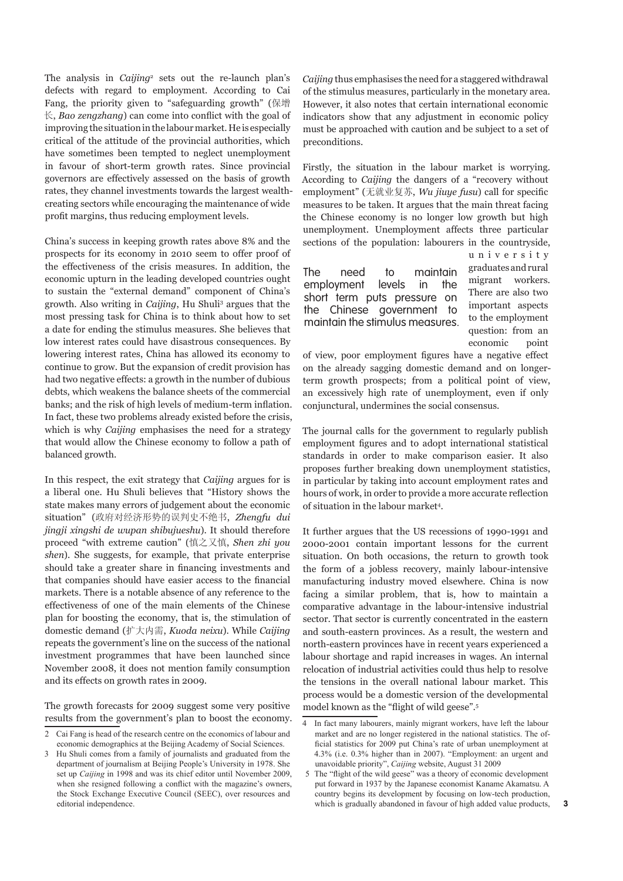The analysis in *Caijing*<sup>2</sup> sets out the re-launch plan's defects with regard to employment. According to Cai Fang, the priority given to "safeguarding growth" (保增 长, *Bao zengzhang*) can come into conflict with the goal of improving the situation in the labour market. He is especially critical of the attitude of the provincial authorities, which have sometimes been tempted to neglect unemployment in favour of short-term growth rates. Since provincial governors are effectively assessed on the basis of growth rates, they channel investments towards the largest wealthcreating sectors while encouraging the maintenance of wide profit margins, thus reducing employment levels.

China's success in keeping growth rates above 8% and the prospects for its economy in 2010 seem to offer proof of the effectiveness of the crisis measures. In addition, the economic upturn in the leading developed countries ought to sustain the "external demand" component of China's growth. Also writing in *Caijing*, Hu Shuli3 argues that the most pressing task for China is to think about how to set a date for ending the stimulus measures. She believes that low interest rates could have disastrous consequences. By lowering interest rates, China has allowed its economy to continue to grow. But the expansion of credit provision has had two negative effects: a growth in the number of dubious debts, which weakens the balance sheets of the commercial banks; and the risk of high levels of medium-term inflation. In fact, these two problems already existed before the crisis, which is why *Caijing* emphasises the need for a strategy that would allow the Chinese economy to follow a path of balanced growth.

In this respect, the exit strategy that *Caijing* argues for is a liberal one. Hu Shuli believes that "History shows the state makes many errors of judgement about the economic situation" (政府对经济形势的误判史不绝书, *Zhengfu dui jingji xingshi de wupan shibujueshu*). It should therefore proceed "with extreme caution" (慎之又慎, *Shen zhi you shen*). She suggests, for example, that private enterprise should take a greater share in financing investments and that companies should have easier access to the financial markets. There is a notable absence of any reference to the effectiveness of one of the main elements of the Chinese plan for boosting the economy, that is, the stimulation of domestic demand (扩大内需, *Kuoda neixu*). While *Caijing* repeats the government's line on the success of the national investment programmes that have been launched since November 2008, it does not mention family consumption and its effects on growth rates in 2009.

The growth forecasts for 2009 suggest some very positive results from the government's plan to boost the economy. *Caijing* thus emphasises the need for a staggered withdrawal of the stimulus measures, particularly in the monetary area. However, it also notes that certain international economic indicators show that any adjustment in economic policy must be approached with caution and be subject to a set of preconditions.

Firstly, the situation in the labour market is worrying. According to *Caijing* the dangers of a "recovery without employment" (无就业复苏, *Wu jiuye fusu*) call for specific measures to be taken. It argues that the main threat facing the Chinese economy is no longer low growth but high unemployment. Unemployment affects three particular sections of the population: labourers in the countryside,

The need to maintain employment levels in the short term puts pressure on the Chinese government to maintain the stimulus measures. u n i v e r s i t y graduates and rural migrant workers. There are also two important aspects to the employment question: from an economic point

of view, poor employment figures have a negative effect on the already sagging domestic demand and on longerterm growth prospects; from a political point of view, an excessively high rate of unemployment, even if only conjunctural, undermines the social consensus.

The journal calls for the government to regularly publish employment figures and to adopt international statistical standards in order to make comparison easier. It also proposes further breaking down unemployment statistics, in particular by taking into account employment rates and hours of work, in order to provide a more accurate reflection of situation in the labour market<sup>4</sup>.

It further argues that the US recessions of 1990-1991 and 2000-2001 contain important lessons for the current situation. On both occasions, the return to growth took the form of a jobless recovery, mainly labour-intensive manufacturing industry moved elsewhere. China is now facing a similar problem, that is, how to maintain a comparative advantage in the labour-intensive industrial sector. That sector is currently concentrated in the eastern and south-eastern provinces. As a result, the western and north-eastern provinces have in recent years experienced a labour shortage and rapid increases in wages. An internal relocation of industrial activities could thus help to resolve the tensions in the overall national labour market. This process would be a domestic version of the developmental model known as the "flight of wild geese".5

<sup>2</sup> Cai Fang is head of the research centre on the economics of labour and economic demographics at the Beijing Academy of Social Sciences.

<sup>3</sup> Hu Shuli comes from a family of journalists and graduated from the department of journalism at Beijing People's University in 1978. She set up *Caijing* in 1998 and was its chief editor until November 2009, when she resigned following a conflict with the magazine's owners, the Stock Exchange Executive Council (SEEC), over resources and editorial independence.

<sup>4</sup> In fact many labourers, mainly migrant workers, have left the labour market and are no longer registered in the national statistics. The official statistics for 2009 put China's rate of urban unemployment at 4.3% (i.e. 0.3% higher than in 2007). "Employment: an urgent and unavoidable priority", *Caijing* website, August 31 2009

<sup>5</sup> The "flight of the wild geese" was a theory of economic development put forward in 1937 by the Japanese economist Kaname Akamatsu. A country begins its development by focusing on low-tech production, which is gradually abandoned in favour of high added value products,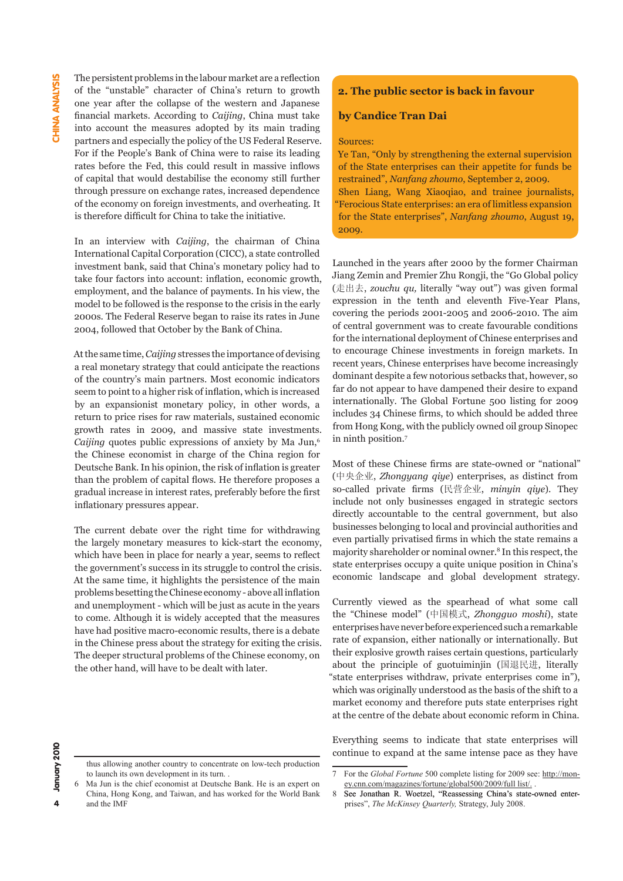The persistent problems in the labour market are a reflection of the "unstable" character of China's return to growth one year after the collapse of the western and Japanese financial markets. According to *Caijing*, China must take into account the measures adopted by its main trading partners and especially the policy of the US Federal Reserve. For if the People's Bank of China were to raise its leading rates before the Fed, this could result in massive inflows of capital that would destabilise the economy still further through pressure on exchange rates, increased dependence of the economy on foreign investments, and overheating. It is therefore difficult for China to take the initiative.

In an interview with *Caijing*, the chairman of China International Capital Corporation (CICC), a state controlled investment bank, said that China's monetary policy had to take four factors into account: inflation, economic growth, employment, and the balance of payments. In his view, the model to be followed is the response to the crisis in the early 2000s. The Federal Reserve began to raise its rates in June 2004, followed that October by the Bank of China.

At the same time, *Caijing* stresses the importance of devising a real monetary strategy that could anticipate the reactions of the country's main partners. Most economic indicators seem to point to a higher risk of inflation, which is increased by an expansionist monetary policy, in other words, a return to price rises for raw materials, sustained economic growth rates in 2009, and massive state investments. *Caijing* quotes public expressions of anxiety by Ma Jun,<sup>6</sup> the Chinese economist in charge of the China region for Deutsche Bank. In his opinion, the risk of inflation is greater than the problem of capital flows. He therefore proposes a gradual increase in interest rates, preferably before the first inflationary pressures appear.

The current debate over the right time for withdrawing the largely monetary measures to kick-start the economy, which have been in place for nearly a year, seems to reflect the government's success in its struggle to control the crisis. At the same time, it highlights the persistence of the main problems besetting the Chinese economy - above all inflation and unemployment - which will be just as acute in the years to come. Although it is widely accepted that the measures have had positive macro-economic results, there is a debate in the Chinese press about the strategy for exiting the crisis. The deeper structural problems of the Chinese economy, on the other hand, will have to be dealt with later.

# **2. The public sector is back in favour**

#### **by Candice Tran Dai**

#### Sources:

Ye Tan, "Only by strengthening the external supervision of the State enterprises can their appetite for funds be restrained", *Nanfang zhoumo*, September 2, 2009. Shen Liang, Wang Xiaoqiao, and trainee journalists, "Ferocious State enterprises: an era of limitless expansion for the State enterprises", *Nanfang zhoumo*, August 19, 2009.

Launched in the years after 2000 by the former Chairman Jiang Zemin and Premier Zhu Rongji, the "Go Global policy (走出去, *zouchu qu,* literally "way out") was given formal expression in the tenth and eleventh Five-Year Plans, covering the periods 2001-2005 and 2006-2010. The aim of central government was to create favourable conditions for the international deployment of Chinese enterprises and to encourage Chinese investments in foreign markets. In recent years, Chinese enterprises have become increasingly dominant despite a few notorious setbacks that, however, so far do not appear to have dampened their desire to expand internationally. The Global Fortune 500 listing for 2009 includes 34 Chinese firms, to which should be added three from Hong Kong, with the publicly owned oil group Sinopec in ninth position.<sup>7</sup>

Most of these Chinese firms are state-owned or "national" (中央企业, *Zhongyang qiye*) enterprises, as distinct from so-called private firms (民营企业, *minyin qiye*). They include not only businesses engaged in strategic sectors directly accountable to the central government, but also businesses belonging to local and provincial authorities and even partially privatised firms in which the state remains a majority shareholder or nominal owner.8 In this respect, the state enterprises occupy a quite unique position in China's economic landscape and global development strategy.

Currently viewed as the spearhead of what some call the "Chinese model" (中国模式, *Zhongguo moshi*), state enterprises have never before experienced such a remarkable rate of expansion, either nationally or internationally. But their explosive growth raises certain questions, particularly about the principle of guotuiminjin (国退民进, literally "state enterprises withdraw, private enterprises come in"), which was originally understood as the basis of the shift to a market economy and therefore puts state enterprises right at the centre of the debate about economic reform in China.

Everything seems to indicate that state enterprises will continue to expand at the same intense pace as they have

to launch its own development in its turn. .

thus allowing another country to concentrate on low-tech production

<sup>7</sup> For the *Global Fortune* 500 complete listing for 2009 see: http://money.cnn.com/magazines/fortune/global500/2009/full list/. .

<sup>6</sup> Ma Jun is the chief economist at Deutsche Bank. He is an expert on China, Hong Kong, and Taiwan, and has worked for the World Bank and the IMF

<sup>8</sup> See Jonathan R. Woetzel, "Reassessing China's state-owned enterprises", *The McKinsey Quarterly,* Strategy, July 2008.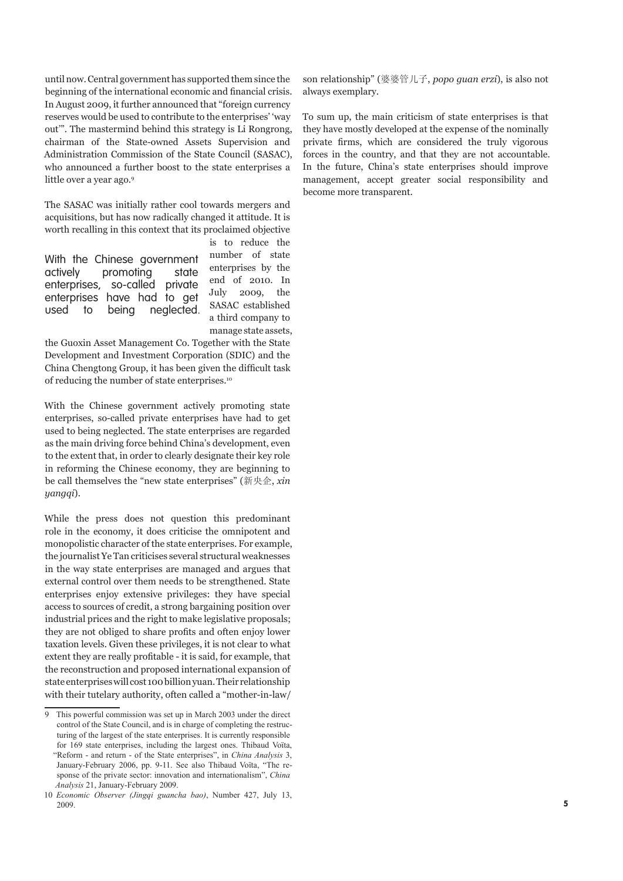until now. Central government has supported them since the beginning of the international economic and financial crisis. In August 2009, it further announced that "foreign currency reserves would be used to contribute to the enterprises' 'way out'". The mastermind behind this strategy is Li Rongrong, chairman of the State-owned Assets Supervision and Administration Commission of the State Council (SASAC), who announced a further boost to the state enterprises a little over a year ago.<sup>9</sup>

The SASAC was initially rather cool towards mergers and acquisitions, but has now radically changed it attitude. It is worth recalling in this context that its proclaimed objective

With the Chinese government actively promoting state enterprises, so-called private enterprises have had to get used to being neglected. is to reduce the number of state enterprises by the end of 2010. In July 2009, the SASAC established a third company to manage state assets,

the Guoxin Asset Management Co. Together with the State Development and Investment Corporation (SDIC) and the China Chengtong Group, it has been given the difficult task of reducing the number of state enterprises.<sup>10</sup>

With the Chinese government actively promoting state enterprises, so-called private enterprises have had to get used to being neglected. The state enterprises are regarded as the main driving force behind China's development, even to the extent that, in order to clearly designate their key role in reforming the Chinese economy, they are beginning to be call themselves the "new state enterprises" (新央企, *xin yangqi*).

While the press does not question this predominant role in the economy, it does criticise the omnipotent and monopolistic character of the state enterprises. For example, the journalist Ye Tan criticises several structural weaknesses in the way state enterprises are managed and argues that external control over them needs to be strengthened. State enterprises enjoy extensive privileges: they have special access to sources of credit, a strong bargaining position over industrial prices and the right to make legislative proposals; they are not obliged to share profits and often enjoy lower taxation levels. Given these privileges, it is not clear to what extent they are really profitable - it is said, for example, that the reconstruction and proposed international expansion of state enterprises will cost 100 billion yuan. Their relationship with their tutelary authority, often called a "mother-in-law/

son relationship" (婆婆管儿子, *popo guan erzi*), is also not always exemplary.

To sum up, the main criticism of state enterprises is that they have mostly developed at the expense of the nominally private firms, which are considered the truly vigorous forces in the country, and that they are not accountable. In the future, China's state enterprises should improve management, accept greater social responsibility and become more transparent.

<sup>9</sup> This powerful commission was set up in March 2003 under the direct control of the State Council, and is in charge of completing the restructuring of the largest of the state enterprises. It is currently responsible for 169 state enterprises, including the largest ones. Thibaud Voïta, "Reform - and return - of the State enterprises", in *China Analysis* 3, January-February 2006, pp. 9-11. See also Thibaud Voïta, "The response of the private sector: innovation and internationalism", *China Analysis* 21, January-February 2009.

<sup>10</sup> *Economic Observer (Jingqi guancha bao)*, Number 427, July 13, 2009.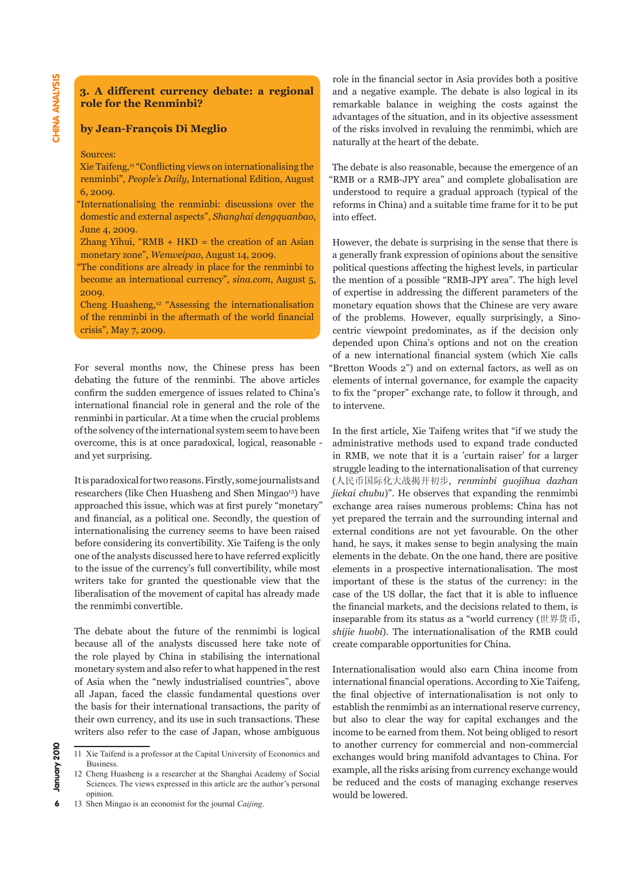# **3. A different currency debate: a regional role for the Renminbi?**

#### **by Jean-François Di Meglio**

#### Sources:

Xie Taifeng,<sup>11</sup> "Conflicting views on internationalising the renminbi", *People's Daily*, International Edition, August 6, 2009.

"Internationalising the renminbi: discussions over the domestic and external aspects", *Shanghai dengquanbao*, June 4, 2009.

Zhang Yihui, " $RMB + HKD =$  the creation of an Asian monetary zone", *Wenweipao*, August 14, 2009.

"The conditions are already in place for the renminbi to become an international currency", *sina.com*, August 5, 2009.

Cheng Huasheng,12 "Assessing the internationalisation of the renminbi in the aftermath of the world financial crisis", May 7, 2009.

For several months now, the Chinese press has been debating the future of the renminbi. The above articles confirm the sudden emergence of issues related to China's international financial role in general and the role of the renminbi in particular. At a time when the crucial problems of the solvency of the international system seem to have been overcome, this is at once paradoxical, logical, reasonable and yet surprising.

It is paradoxical for two reasons. Firstly, some journalists and researchers (like Chen Huasheng and Shen Mingao<sup>13</sup>) have approached this issue, which was at first purely "monetary" and financial, as a political one. Secondly, the question of internationalising the currency seems to have been raised before considering its convertibility. Xie Taifeng is the only one of the analysts discussed here to have referred explicitly to the issue of the currency's full convertibility, while most writers take for granted the questionable view that the liberalisation of the movement of capital has already made the renmimbi convertible.

The debate about the future of the renmimbi is logical because all of the analysts discussed here take note of the role played by China in stabilising the international monetary system and also refer to what happened in the rest of Asia when the "newly industrialised countries", above all Japan, faced the classic fundamental questions over the basis for their international transactions, the parity of their own currency, and its use in such transactions. These writers also refer to the case of Japan, whose ambiguous role in the financial sector in Asia provides both a positive and a negative example. The debate is also logical in its remarkable balance in weighing the costs against the advantages of the situation, and in its objective assessment of the risks involved in revaluing the renmimbi, which are naturally at the heart of the debate.

The debate is also reasonable, because the emergence of an "RMB or a RMB-JPY area" and complete globalisation are understood to require a gradual approach (typical of the reforms in China) and a suitable time frame for it to be put into effect.

However, the debate is surprising in the sense that there is a generally frank expression of opinions about the sensitive political questions affecting the highest levels, in particular the mention of a possible "RMB-JPY area". The high level of expertise in addressing the different parameters of the monetary equation shows that the Chinese are very aware of the problems. However, equally surprisingly, a Sinocentric viewpoint predominates, as if the decision only depended upon China's options and not on the creation of a new international financial system (which Xie calls "Bretton Woods 2") and on external factors, as well as on elements of internal governance, for example the capacity to fix the "proper" exchange rate, to follow it through, and to intervene.

In the first article, Xie Taifeng writes that "if we study the administrative methods used to expand trade conducted in RMB, we note that it is a 'curtain raiser' for a larger struggle leading to the internationalisation of that currency (人民币国际化大战揭开初步, *renminbi guojihua dazhan jiekai chubu*)". He observes that expanding the renmimbi exchange area raises numerous problems: China has not yet prepared the terrain and the surrounding internal and external conditions are not yet favourable. On the other hand, he says, it makes sense to begin analysing the main elements in the debate. On the one hand, there are positive elements in a prospective internationalisation. The most important of these is the status of the currency: in the case of the US dollar, the fact that it is able to influence the financial markets, and the decisions related to them, is inseparable from its status as a "world currency (世界货币, *shijie huobi*). The internationalisation of the RMB could create comparable opportunities for China.

Internationalisation would also earn China income from international financial operations. According to Xie Taifeng, the final objective of internationalisation is not only to establish the renmimbi as an international reserve currency, but also to clear the way for capital exchanges and the income to be earned from them. Not being obliged to resort to another currency for commercial and non-commercial exchanges would bring manifold advantages to China. For example, all the risks arising from currency exchange would be reduced and the costs of managing exchange reserves would be lowered.

<sup>11</sup> Xie Taifend is a professor at the Capital University of Economics and Business.

<sup>12</sup> Cheng Huasheng is a researcher at the Shanghai Academy of Social Sciences. The views expressed in this article are the author's personal opinion.

<sup>13</sup> Shen Mingao is an economist for the journal *Caijing*.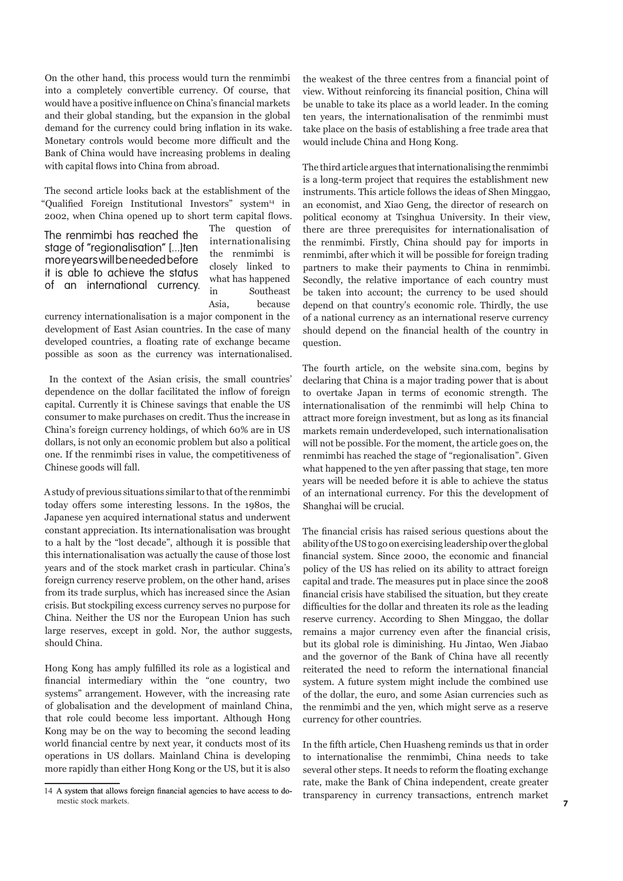On the other hand, this process would turn the renmimbi into a completely convertible currency. Of course, that would have a positive influence on China's financial markets and their global standing, but the expansion in the global demand for the currency could bring inflation in its wake. Monetary controls would become more difficult and the Bank of China would have increasing problems in dealing with capital flows into China from abroad.

The second article looks back at the establishment of the "Qualified Foreign Institutional Investors" system14 in 2002, when China opened up to short term capital flows.

The renmimbi has reached the stage of "regionalisation" [...]ten more years will be needed before it is able to achieve the status of an international currency. The question of internationalising the renmimbi is closely linked to what has happened in Southeast Asia, because

currency internationalisation is a major component in the development of East Asian countries. In the case of many developed countries, a floating rate of exchange became possible as soon as the currency was internationalised.

 In the context of the Asian crisis, the small countries' dependence on the dollar facilitated the inflow of foreign capital. Currently it is Chinese savings that enable the US consumer to make purchases on credit. Thus the increase in China's foreign currency holdings, of which 60% are in US dollars, is not only an economic problem but also a political one. If the renmimbi rises in value, the competitiveness of Chinese goods will fall.

A study of previous situations similar to that of the renmimbi today offers some interesting lessons. In the 1980s, the Japanese yen acquired international status and underwent constant appreciation. Its internationalisation was brought to a halt by the "lost decade", although it is possible that this internationalisation was actually the cause of those lost years and of the stock market crash in particular. China's foreign currency reserve problem, on the other hand, arises from its trade surplus, which has increased since the Asian crisis. But stockpiling excess currency serves no purpose for China. Neither the US nor the European Union has such large reserves, except in gold. Nor, the author suggests, should China.

Hong Kong has amply fulfilled its role as a logistical and financial intermediary within the "one country, two systems" arrangement. However, with the increasing rate of globalisation and the development of mainland China, that role could become less important. Although Hong Kong may be on the way to becoming the second leading world financial centre by next year, it conducts most of its operations in US dollars. Mainland China is developing more rapidly than either Hong Kong or the US, but it is also

the weakest of the three centres from a financial point of view. Without reinforcing its financial position, China will be unable to take its place as a world leader. In the coming ten years, the internationalisation of the renmimbi must take place on the basis of establishing a free trade area that would include China and Hong Kong.

The third article argues that internationalising the renmimbi is a long-term project that requires the establishment new instruments. This article follows the ideas of Shen Minggao, an economist, and Xiao Geng, the director of research on political economy at Tsinghua University. In their view, there are three prerequisites for internationalisation of the renmimbi. Firstly, China should pay for imports in renmimbi, after which it will be possible for foreign trading partners to make their payments to China in renmimbi. Secondly, the relative importance of each country must be taken into account; the currency to be used should depend on that country's economic role. Thirdly, the use of a national currency as an international reserve currency should depend on the financial health of the country in question.

The fourth article, on the website sina.com, begins by declaring that China is a major trading power that is about to overtake Japan in terms of economic strength. The internationalisation of the renmimbi will help China to attract more foreign investment, but as long as its financial markets remain underdeveloped, such internationalisation will not be possible. For the moment, the article goes on, the renmimbi has reached the stage of "regionalisation". Given what happened to the yen after passing that stage, ten more years will be needed before it is able to achieve the status of an international currency. For this the development of Shanghai will be crucial.

The financial crisis has raised serious questions about the ability of the US to go on exercising leadership over the global financial system. Since 2000, the economic and financial policy of the US has relied on its ability to attract foreign capital and trade. The measures put in place since the 2008 financial crisis have stabilised the situation, but they create difficulties for the dollar and threaten its role as the leading reserve currency. According to Shen Minggao, the dollar remains a major currency even after the financial crisis, but its global role is diminishing. Hu Jintao, Wen Jiabao and the governor of the Bank of China have all recently reiterated the need to reform the international financial system. A future system might include the combined use of the dollar, the euro, and some Asian currencies such as the renmimbi and the yen, which might serve as a reserve currency for other countries.

In the fifth article, Chen Huasheng reminds us that in order to internationalise the renmimbi, China needs to take several other steps. It needs to reform the floating exchange rate, make the Bank of China independent, create greater transparency in currency transactions, entrench market

<sup>14</sup> A system that allows foreign financial agencies to have access to domestic stock markets.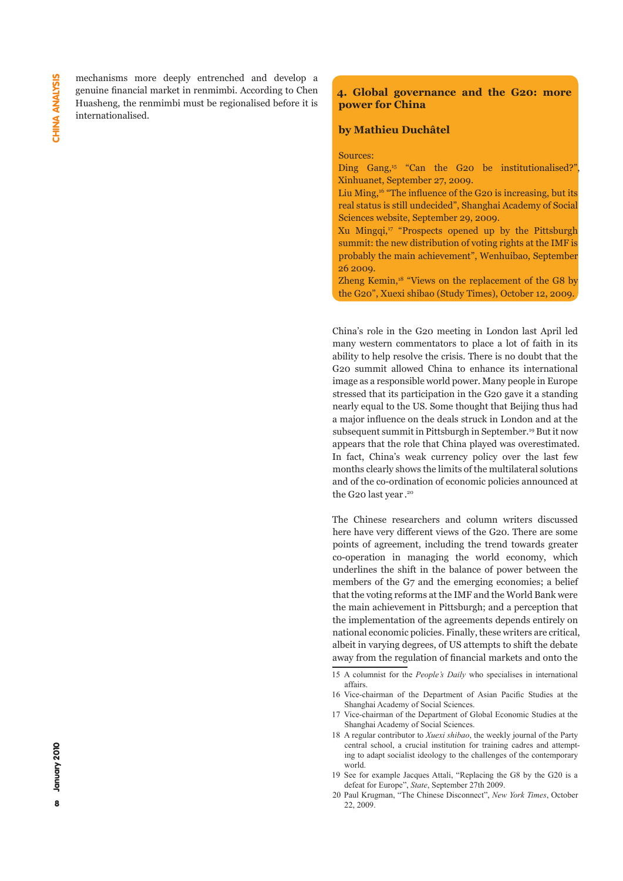mechanisms more deeply entrenched and develop a genuine financial market in renmimbi. According to Chen Huasheng, the renmimbi must be regionalised before it is internationalised.

# **4. Global governance and the G20: more power for China**

#### **by Mathieu Duchâtel**

Sources:

Ding Gang,<sup>15</sup> "Can the G20 be institutionalised?" Xinhuanet, September 27, 2009.

Liu Ming,16 "The influence of the G20 is increasing, but its real status is still undecided", Shanghai Academy of Social Sciences website, September 29, 2009.

Xu Mingqi,17 "Prospects opened up by the Pittsburgh summit: the new distribution of voting rights at the IMF is probably the main achievement", Wenhuibao, September 26 2009.

Zheng Kemin,<sup>18</sup> "Views on the replacement of the G8 by the G20", Xuexi shibao (Study Times), October 12, 2009.

China's role in the G20 meeting in London last April led many western commentators to place a lot of faith in its ability to help resolve the crisis. There is no doubt that the G20 summit allowed China to enhance its international image as a responsible world power. Many people in Europe stressed that its participation in the G20 gave it a standing nearly equal to the US. Some thought that Beijing thus had a major influence on the deals struck in London and at the subsequent summit in Pittsburgh in September.19 But it now appears that the role that China played was overestimated. In fact, China's weak currency policy over the last few months clearly shows the limits of the multilateral solutions and of the co-ordination of economic policies announced at the G20 last year . 20

The Chinese researchers and column writers discussed here have very different views of the G20. There are some points of agreement, including the trend towards greater co-operation in managing the world economy, which underlines the shift in the balance of power between the members of the G7 and the emerging economies; a belief that the voting reforms at the IMF and the World Bank were the main achievement in Pittsburgh; and a perception that the implementation of the agreements depends entirely on national economic policies. Finally, these writers are critical, albeit in varying degrees, of US attempts to shift the debate away from the regulation of financial markets and onto the

<sup>15</sup> A columnist for the *People's Daily* who specialises in international affairs.

<sup>16</sup> Vice-chairman of the Department of Asian Pacific Studies at the Shanghai Academy of Social Sciences.

<sup>17</sup> Vice-chairman of the Department of Global Economic Studies at the Shanghai Academy of Social Sciences.

<sup>18</sup> A regular contributor to *Xuexi shibao*, the weekly journal of the Party central school, a crucial institution for training cadres and attempting to adapt socialist ideology to the challenges of the contemporary world.

<sup>19</sup> See for example Jacques Attali, "Replacing the G8 by the G20 is a defeat for Europe", *State*, September 27th 2009.

<sup>20</sup> Paul Krugman, "The Chinese Disconnect", *New York Times*, October 22, 2009.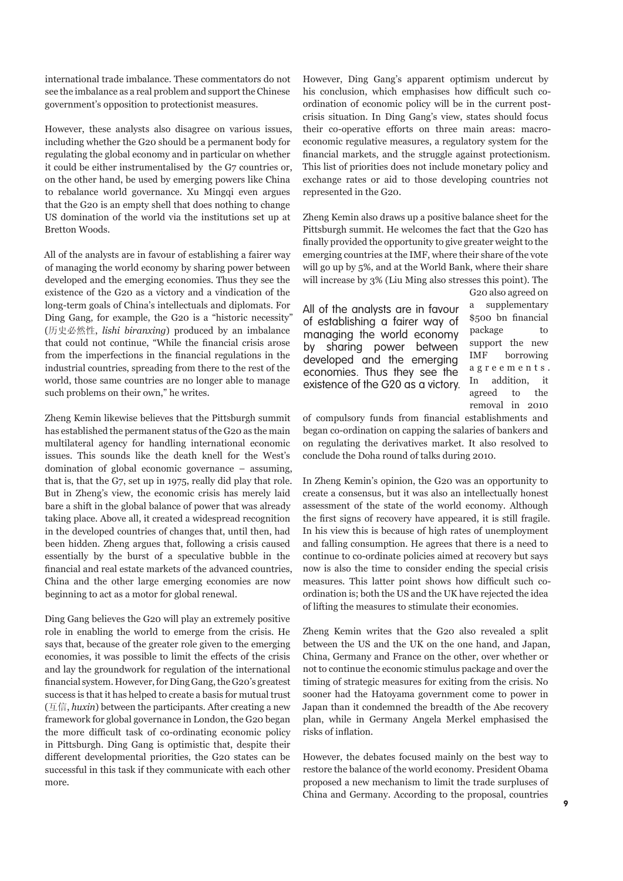international trade imbalance. These commentators do not see the imbalance as a real problem and support the Chinese government's opposition to protectionist measures.

However, these analysts also disagree on various issues, including whether the G20 should be a permanent body for regulating the global economy and in particular on whether it could be either instrumentalised by the G7 countries or, on the other hand, be used by emerging powers like China to rebalance world governance. Xu Mingqi even argues that the G20 is an empty shell that does nothing to change US domination of the world via the institutions set up at Bretton Woods.

All of the analysts are in favour of establishing a fairer way of managing the world economy by sharing power between developed and the emerging economies. Thus they see the existence of the G20 as a victory and a vindication of the long-term goals of China's intellectuals and diplomats. For Ding Gang, for example, the G20 is a "historic necessity" (历史必然性, *lishi biranxing*) produced by an imbalance that could not continue, "While the financial crisis arose from the imperfections in the financial regulations in the industrial countries, spreading from there to the rest of the world, those same countries are no longer able to manage such problems on their own," he writes.

Zheng Kemin likewise believes that the Pittsburgh summit has established the permanent status of the G20 as the main multilateral agency for handling international economic issues. This sounds like the death knell for the West's domination of global economic governance – assuming, that is, that the G7, set up in 1975, really did play that role. But in Zheng's view, the economic crisis has merely laid bare a shift in the global balance of power that was already taking place. Above all, it created a widespread recognition in the developed countries of changes that, until then, had been hidden. Zheng argues that, following a crisis caused essentially by the burst of a speculative bubble in the financial and real estate markets of the advanced countries, China and the other large emerging economies are now beginning to act as a motor for global renewal.

Ding Gang believes the G20 will play an extremely positive role in enabling the world to emerge from the crisis. He says that, because of the greater role given to the emerging economies, it was possible to limit the effects of the crisis and lay the groundwork for regulation of the international financial system. However, for Ding Gang, the G20's greatest success is that it has helped to create a basis for mutual trust (互信, *huxin*) between the participants. After creating a new framework for global governance in London, the G20 began the more difficult task of co-ordinating economic policy in Pittsburgh. Ding Gang is optimistic that, despite their different developmental priorities, the G20 states can be successful in this task if they communicate with each other more.

However, Ding Gang's apparent optimism undercut by his conclusion, which emphasises how difficult such coordination of economic policy will be in the current postcrisis situation. In Ding Gang's view, states should focus their co-operative efforts on three main areas: macroeconomic regulative measures, a regulatory system for the financial markets, and the struggle against protectionism. This list of priorities does not include monetary policy and exchange rates or aid to those developing countries not represented in the G20.

Zheng Kemin also draws up a positive balance sheet for the Pittsburgh summit. He welcomes the fact that the G20 has finally provided the opportunity to give greater weight to the emerging countries at the IMF, where their share of the vote will go up by 5%, and at the World Bank, where their share will increase by 3% (Liu Ming also stresses this point). The G20 also agreed on

All of the analysts are in favour of establishing a fairer way of managing the world economy by sharing power between developed and the emerging economies. Thus they see the existence of the G20 as a victory. a supplementary \$500 bn financial package to support the new IMF borrowing a g r e e m e n t s . In addition, it agreed to the removal in 2010

of compulsory funds from financial establishments and began co-ordination on capping the salaries of bankers and on regulating the derivatives market. It also resolved to conclude the Doha round of talks during 2010.

In Zheng Kemin's opinion, the G20 was an opportunity to create a consensus, but it was also an intellectually honest assessment of the state of the world economy. Although the first signs of recovery have appeared, it is still fragile. In his view this is because of high rates of unemployment and falling consumption. He agrees that there is a need to continue to co-ordinate policies aimed at recovery but says now is also the time to consider ending the special crisis measures. This latter point shows how difficult such coordination is; both the US and the UK have rejected the idea of lifting the measures to stimulate their economies.

Zheng Kemin writes that the G20 also revealed a split between the US and the UK on the one hand, and Japan, China, Germany and France on the other, over whether or not to continue the economic stimulus package and over the timing of strategic measures for exiting from the crisis. No sooner had the Hatoyama government come to power in Japan than it condemned the breadth of the Abe recovery plan, while in Germany Angela Merkel emphasised the risks of inflation.

However, the debates focused mainly on the best way to restore the balance of the world economy. President Obama proposed a new mechanism to limit the trade surpluses of China and Germany. According to the proposal, countries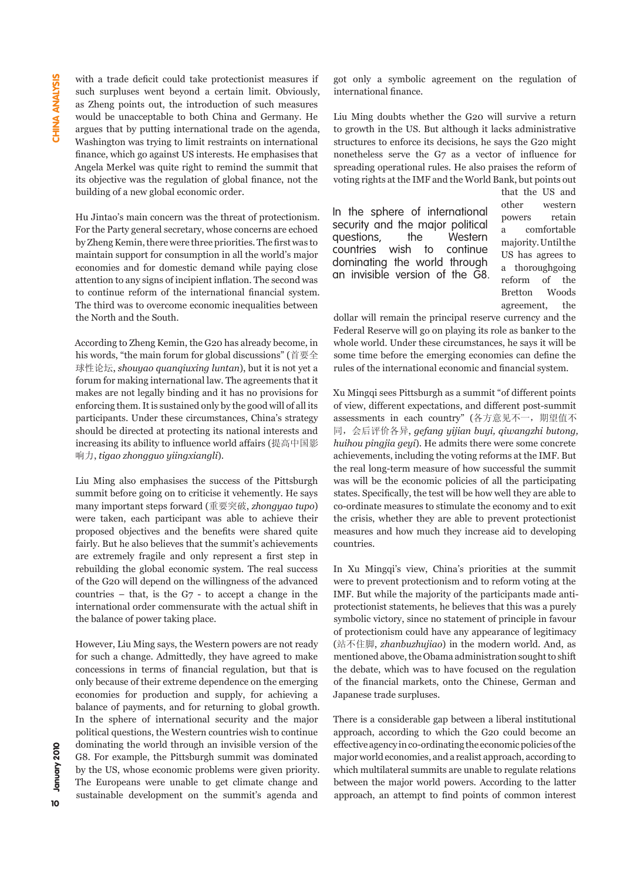with a trade deficit could take protectionist measures if such surpluses went beyond a certain limit. Obviously, as Zheng points out, the introduction of such measures would be unacceptable to both China and Germany. He argues that by putting international trade on the agenda, Washington was trying to limit restraints on international finance, which go against US interests. He emphasises that Angela Merkel was quite right to remind the summit that its objective was the regulation of global finance, not the building of a new global economic order.

Hu Jintao's main concern was the threat of protectionism. For the Party general secretary, whose concerns are echoed by Zheng Kemin, there were three priorities. The first was to maintain support for consumption in all the world's major economies and for domestic demand while paying close attention to any signs of incipient inflation. The second was to continue reform of the international financial system. The third was to overcome economic inequalities between the North and the South.

According to Zheng Kemin, the G20 has already become, in his words, "the main forum for global discussions" (首要全 球性论坛, *shouyao quanqiuxing luntan*), but it is not yet a forum for making international law. The agreements that it makes are not legally binding and it has no provisions for enforcing them. It is sustained only by the good will of all its participants. Under these circumstances, China's strategy should be directed at protecting its national interests and increasing its ability to influence world affairs (提高中国影 响力, *tigao zhongguo yiingxiangli*).

Liu Ming also emphasises the success of the Pittsburgh summit before going on to criticise it vehemently. He says many important steps forward (重要突破, *zhongyao tupo*) were taken, each participant was able to achieve their proposed objectives and the benefits were shared quite fairly. But he also believes that the summit's achievements are extremely fragile and only represent a first step in rebuilding the global economic system. The real success of the G20 will depend on the willingness of the advanced countries – that, is the  $G7$  - to accept a change in the international order commensurate with the actual shift in the balance of power taking place.

However, Liu Ming says, the Western powers are not ready for such a change. Admittedly, they have agreed to make concessions in terms of financial regulation, but that is only because of their extreme dependence on the emerging economies for production and supply, for achieving a balance of payments, and for returning to global growth. In the sphere of international security and the major political questions, the Western countries wish to continue dominating the world through an invisible version of the G8. For example, the Pittsburgh summit was dominated by the US, whose economic problems were given priority. The Europeans were unable to get climate change and sustainable development on the summit's agenda and

got only a symbolic agreement on the regulation of international finance.

Liu Ming doubts whether the G20 will survive a return to growth in the US. But although it lacks administrative structures to enforce its decisions, he says the G20 might nonetheless serve the G7 as a vector of influence for spreading operational rules. He also praises the reform of voting rights at the IMF and the World Bank, but points out

In the sphere of international security and the major political questions, the Western countries wish to continue dominating the world through an invisible version of the G8. that the US and other western powers retain a comfortable majority. Until the US has agrees to a thoroughgoing reform of the Bretton Woods agreement, the

dollar will remain the principal reserve currency and the Federal Reserve will go on playing its role as banker to the whole world. Under these circumstances, he says it will be some time before the emerging economies can define the rules of the international economic and financial system.

Xu Mingqi sees Pittsburgh as a summit "of different points of view, different expectations, and different post-summit assessments in each country" (各方意见不一, 期望值不 同,会后评价各异, *gefang yijian buyi, qiwangzhi butong, huihou pingjia geyi*). He admits there were some concrete achievements, including the voting reforms at the IMF. But the real long-term measure of how successful the summit was will be the economic policies of all the participating states. Specifically, the test will be how well they are able to co-ordinate measures to stimulate the economy and to exit the crisis, whether they are able to prevent protectionist measures and how much they increase aid to developing countries.

In Xu Mingqi's view, China's priorities at the summit were to prevent protectionism and to reform voting at the IMF. But while the majority of the participants made antiprotectionist statements, he believes that this was a purely symbolic victory, since no statement of principle in favour of protectionism could have any appearance of legitimacy (站不住脚, *zhanbuzhujiao*) in the modern world. And, as mentioned above, the Obama administration sought to shift the debate, which was to have focused on the regulation of the financial markets, onto the Chinese, German and Japanese trade surpluses.

There is a considerable gap between a liberal institutional approach, according to which the G20 could become an effective agency in co-ordinating the economic policies of the major world economies, and a realist approach, according to which multilateral summits are unable to regulate relations between the major world powers. According to the latter approach, an attempt to find points of common interest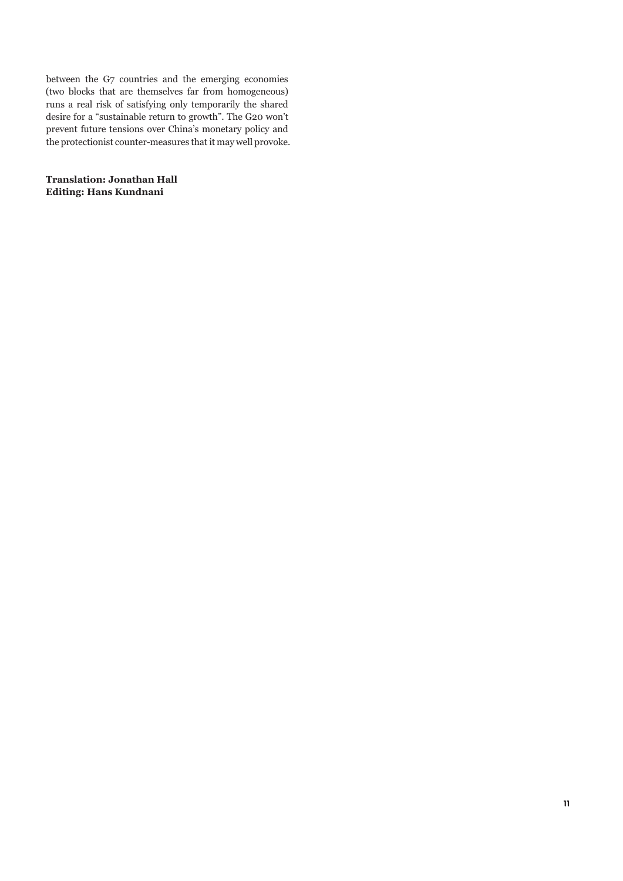between the G7 countries and the emerging economies (two blocks that are themselves far from homogeneous) runs a real risk of satisfying only temporarily the shared desire for a "sustainable return to growth". The G20 won't prevent future tensions over China's monetary policy and the protectionist counter-measures that it may well provoke.

**Translation: Jonathan Hall Editing: Hans Kundnani**